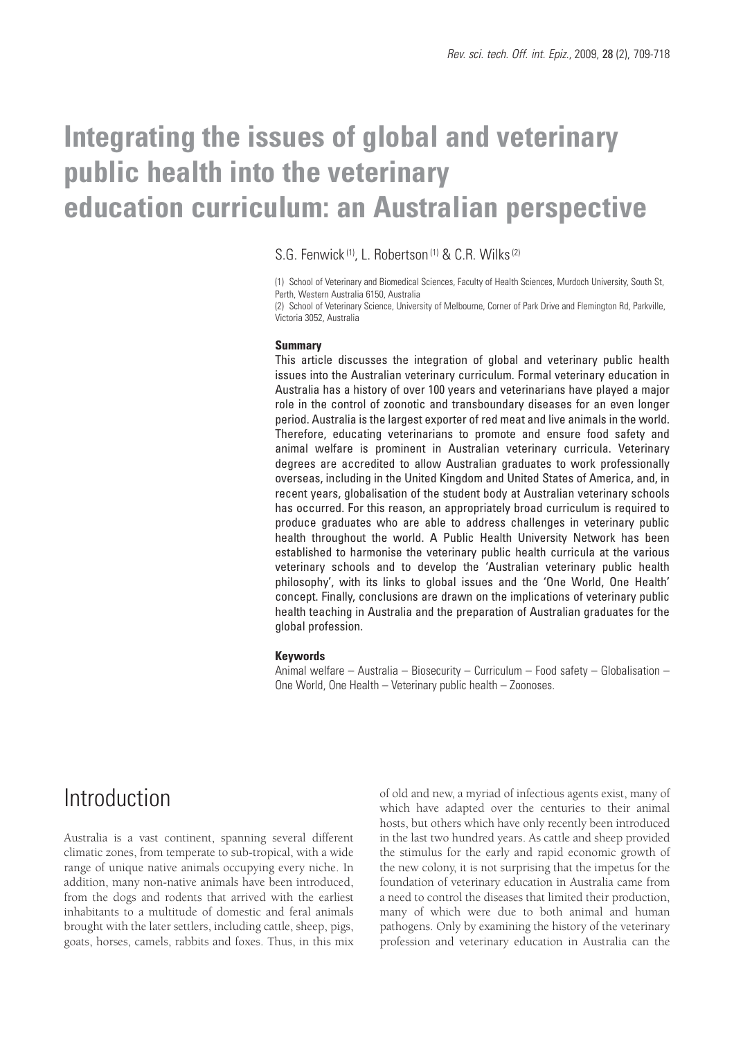# **Integrating the issues of global and veterinary public health into the veterinary education curriculum: an Australian perspective**

### S.G. Fenwick<sup>(1)</sup>, L. Robertson<sup>(1)</sup> & C.R. Wilks<sup>(2)</sup>

(1) School of Veterinary and Biomedical Sciences, Faculty of Health Sciences, Murdoch University, South St, Perth, Western Australia 6150, Australia

(2) School of Veterinary Science, University of Melbourne, Corner of Park Drive and Flemington Rd, Parkville, Victoria 3052, Australia

#### **Summary**

This article discusses the integration of global and veterinary public health issues into the Australian veterinary curriculum. Formal veterinary education in Australia has a history of over 100 years and veterinarians have played a major role in the control of zoonotic and transboundary diseases for an even longer period. Australia is the largest exporter of red meat and live animals in the world. Therefore, educating veterinarians to promote and ensure food safety and animal welfare is prominent in Australian veterinary curricula. Veterinary degrees are accredited to allow Australian graduates to work professionally overseas, including in the United Kingdom and United States of America, and, in recent years, globalisation of the student body at Australian veterinary schools has occurred. For this reason, an appropriately broad curriculum is required to produce graduates who are able to address challenges in veterinary public health throughout the world. A Public Health University Network has been established to harmonise the veterinary public health curricula at the various veterinary schools and to develop the 'Australian veterinary public health philosophy', with its links to global issues and the 'One World, One Health' concept. Finally, conclusions are drawn on the implications of veterinary public health teaching in Australia and the preparation of Australian graduates for the global profession.

#### **Keywords**

Animal welfare – Australia – Biosecurity – Curriculum – Food safety – Globalisation – One World, One Health – Veterinary public health – Zoonoses.

## Introduction

Australia is a vast continent, spanning several different climatic zones, from temperate to sub-tropical, with a wide range of unique native animals occupying every niche. In addition, many non-native animals have been introduced, from the dogs and rodents that arrived with the earliest inhabitants to a multitude of domestic and feral animals brought with the later settlers, including cattle, sheep, pigs, goats, horses, camels, rabbits and foxes. Thus, in this mix

of old and new, a myriad of infectious agents exist, many of which have adapted over the centuries to their animal hosts, but others which have only recently been introduced in the last two hundred years. As cattle and sheep provided the stimulus for the early and rapid economic growth of the new colony, it is not surprising that the impetus for the foundation of veterinary education in Australia came from a need to control the diseases that limited their production, many of which were due to both animal and human pathogens. Only by examining the history of the veterinary profession and veterinary education in Australia can the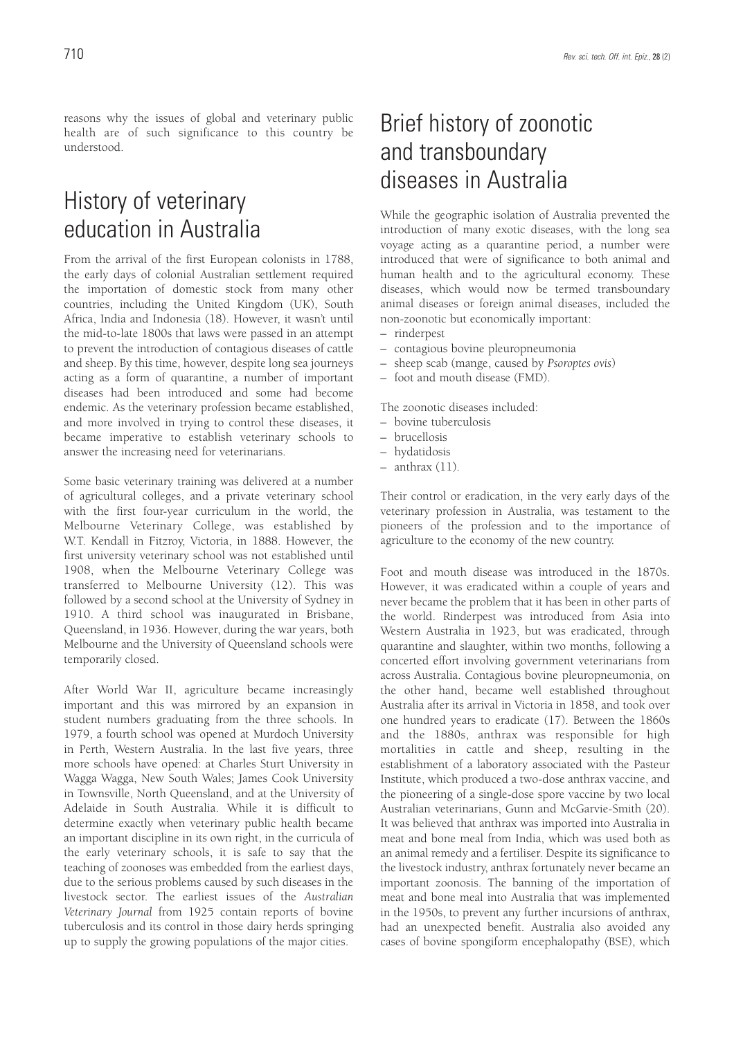reasons why the issues of global and veterinary public health are of such significance to this country be understood.

## History of veterinary education in Australia

From the arrival of the first European colonists in 1788, the early days of colonial Australian settlement required the importation of domestic stock from many other countries, including the United Kingdom (UK), South Africa, India and Indonesia (18). However, it wasn't until the mid-to-late 1800s that laws were passed in an attempt to prevent the introduction of contagious diseases of cattle and sheep. By this time, however, despite long sea journeys acting as a form of quarantine, a number of important diseases had been introduced and some had become endemic. As the veterinary profession became established, and more involved in trying to control these diseases, it became imperative to establish veterinary schools to answer the increasing need for veterinarians.

Some basic veterinary training was delivered at a number of agricultural colleges, and a private veterinary school with the first four-year curriculum in the world, the Melbourne Veterinary College, was established by W.T. Kendall in Fitzroy, Victoria, in 1888. However, the first university veterinary school was not established until 1908, when the Melbourne Veterinary College was transferred to Melbourne University (12). This was followed by a second school at the University of Sydney in 1910. A third school was inaugurated in Brisbane, Queensland, in 1936. However, during the war years, both Melbourne and the University of Queensland schools were temporarily closed.

After World War II, agriculture became increasingly important and this was mirrored by an expansion in student numbers graduating from the three schools. In 1979, a fourth school was opened at Murdoch University in Perth, Western Australia. In the last five years, three more schools have opened: at Charles Sturt University in Wagga Wagga, New South Wales; James Cook University in Townsville, North Queensland, and at the University of Adelaide in South Australia. While it is difficult to determine exactly when veterinary public health became an important discipline in its own right, in the curricula of the early veterinary schools, it is safe to say that the teaching of zoonoses was embedded from the earliest days, due to the serious problems caused by such diseases in the livestock sector. The earliest issues of the *Australian Veterinary Journal* from 1925 contain reports of bovine tuberculosis and its control in those dairy herds springing up to supply the growing populations of the major cities.

## Brief history of zoonotic and transboundary diseases in Australia

While the geographic isolation of Australia prevented the introduction of many exotic diseases, with the long sea voyage acting as a quarantine period, a number were introduced that were of significance to both animal and human health and to the agricultural economy. These diseases, which would now be termed transboundary animal diseases or foreign animal diseases, included the non-zoonotic but economically important:

- rinderpest
- contagious bovine pleuropneumonia
- sheep scab (mange, caused by *Psoroptes ovis*)
- foot and mouth disease (FMD).

The zoonotic diseases included:

- bovine tuberculosis
- brucellosis
- hydatidosis
- anthrax (11).

Their control or eradication, in the very early days of the veterinary profession in Australia, was testament to the pioneers of the profession and to the importance of agriculture to the economy of the new country.

Foot and mouth disease was introduced in the 1870s. However, it was eradicated within a couple of years and never became the problem that it has been in other parts of the world. Rinderpest was introduced from Asia into Western Australia in 1923, but was eradicated, through quarantine and slaughter, within two months, following a concerted effort involving government veterinarians from across Australia. Contagious bovine pleuropneumonia, on the other hand, became well established throughout Australia after its arrival in Victoria in 1858, and took over one hundred years to eradicate (17). Between the 1860s and the 1880s, anthrax was responsible for high mortalities in cattle and sheep, resulting in the establishment of a laboratory associated with the Pasteur Institute, which produced a two-dose anthrax vaccine, and the pioneering of a single-dose spore vaccine by two local Australian veterinarians, Gunn and McGarvie-Smith (20). It was believed that anthrax was imported into Australia in meat and bone meal from India, which was used both as an animal remedy and a fertiliser. Despite its significance to the livestock industry, anthrax fortunately never became an important zoonosis. The banning of the importation of meat and bone meal into Australia that was implemented in the 1950s, to prevent any further incursions of anthrax, had an unexpected benefit. Australia also avoided any cases of bovine spongiform encephalopathy (BSE), which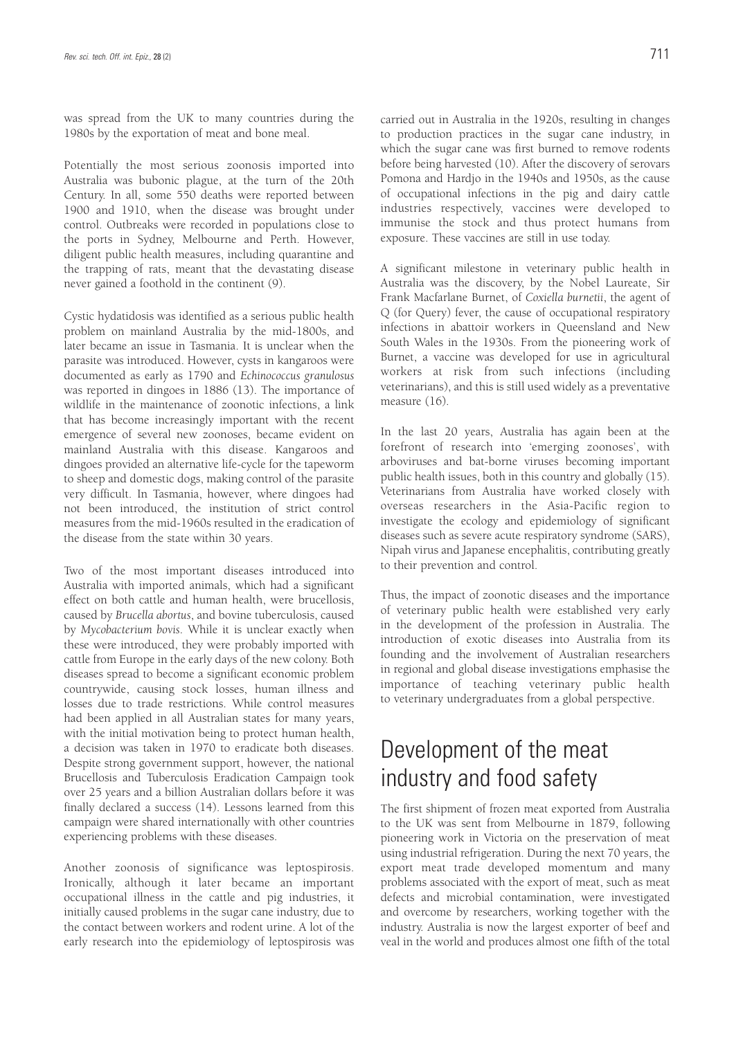was spread from the UK to many countries during the 1980s by the exportation of meat and bone meal.

Potentially the most serious zoonosis imported into Australia was bubonic plague, at the turn of the 20th Century. In all, some 550 deaths were reported between 1900 and 1910, when the disease was brought under control. Outbreaks were recorded in populations close to the ports in Sydney, Melbourne and Perth. However, diligent public health measures, including quarantine and the trapping of rats, meant that the devastating disease never gained a foothold in the continent (9).

Cystic hydatidosis was identified as a serious public health problem on mainland Australia by the mid-1800s, and later became an issue in Tasmania. It is unclear when the parasite was introduced. However, cysts in kangaroos were documented as early as 1790 and *Echinococcus granulosus* was reported in dingoes in 1886 (13). The importance of wildlife in the maintenance of zoonotic infections, a link that has become increasingly important with the recent emergence of several new zoonoses, became evident on mainland Australia with this disease. Kangaroos and dingoes provided an alternative life-cycle for the tapeworm to sheep and domestic dogs, making control of the parasite very difficult. In Tasmania, however, where dingoes had not been introduced, the institution of strict control measures from the mid-1960s resulted in the eradication of the disease from the state within 30 years.

Two of the most important diseases introduced into Australia with imported animals, which had a significant effect on both cattle and human health, were brucellosis, caused by *Brucella abortus*, and bovine tuberculosis, caused by *Mycobacterium bovis*. While it is unclear exactly when these were introduced, they were probably imported with cattle from Europe in the early days of the new colony. Both diseases spread to become a significant economic problem countrywide, causing stock losses, human illness and losses due to trade restrictions. While control measures had been applied in all Australian states for many years, with the initial motivation being to protect human health, a decision was taken in 1970 to eradicate both diseases. Despite strong government support, however, the national Brucellosis and Tuberculosis Eradication Campaign took over 25 years and a billion Australian dollars before it was finally declared a success (14). Lessons learned from this campaign were shared internationally with other countries experiencing problems with these diseases.

Another zoonosis of significance was leptospirosis. Ironically, although it later became an important occupational illness in the cattle and pig industries, it initially caused problems in the sugar cane industry, due to the contact between workers and rodent urine. A lot of the early research into the epidemiology of leptospirosis was carried out in Australia in the 1920s, resulting in changes to production practices in the sugar cane industry, in which the sugar cane was first burned to remove rodents before being harvested (10). After the discovery of serovars Pomona and Hardjo in the 1940s and 1950s, as the cause of occupational infections in the pig and dairy cattle industries respectively, vaccines were developed to immunise the stock and thus protect humans from exposure. These vaccines are still in use today.

A significant milestone in veterinary public health in Australia was the discovery, by the Nobel Laureate, Sir Frank Macfarlane Burnet, of *Coxiella burnetii*, the agent of Q (for Query) fever, the cause of occupational respiratory infections in abattoir workers in Queensland and New South Wales in the 1930s. From the pioneering work of Burnet, a vaccine was developed for use in agricultural workers at risk from such infections (including veterinarians), and this is still used widely as a preventative measure (16).

In the last 20 years, Australia has again been at the forefront of research into 'emerging zoonoses', with arboviruses and bat-borne viruses becoming important public health issues, both in this country and globally (15). Veterinarians from Australia have worked closely with overseas researchers in the Asia-Pacific region to investigate the ecology and epidemiology of significant diseases such as severe acute respiratory syndrome (SARS), Nipah virus and Japanese encephalitis, contributing greatly to their prevention and control.

Thus, the impact of zoonotic diseases and the importance of veterinary public health were established very early in the development of the profession in Australia. The introduction of exotic diseases into Australia from its founding and the involvement of Australian researchers in regional and global disease investigations emphasise the importance of teaching veterinary public health to veterinary undergraduates from a global perspective.

## Development of the meat industry and food safety

The first shipment of frozen meat exported from Australia to the UK was sent from Melbourne in 1879, following pioneering work in Victoria on the preservation of meat using industrial refrigeration. During the next 70 years, the export meat trade developed momentum and many problems associated with the export of meat, such as meat defects and microbial contamination, were investigated and overcome by researchers, working together with the industry. Australia is now the largest exporter of beef and veal in the world and produces almost one fifth of the total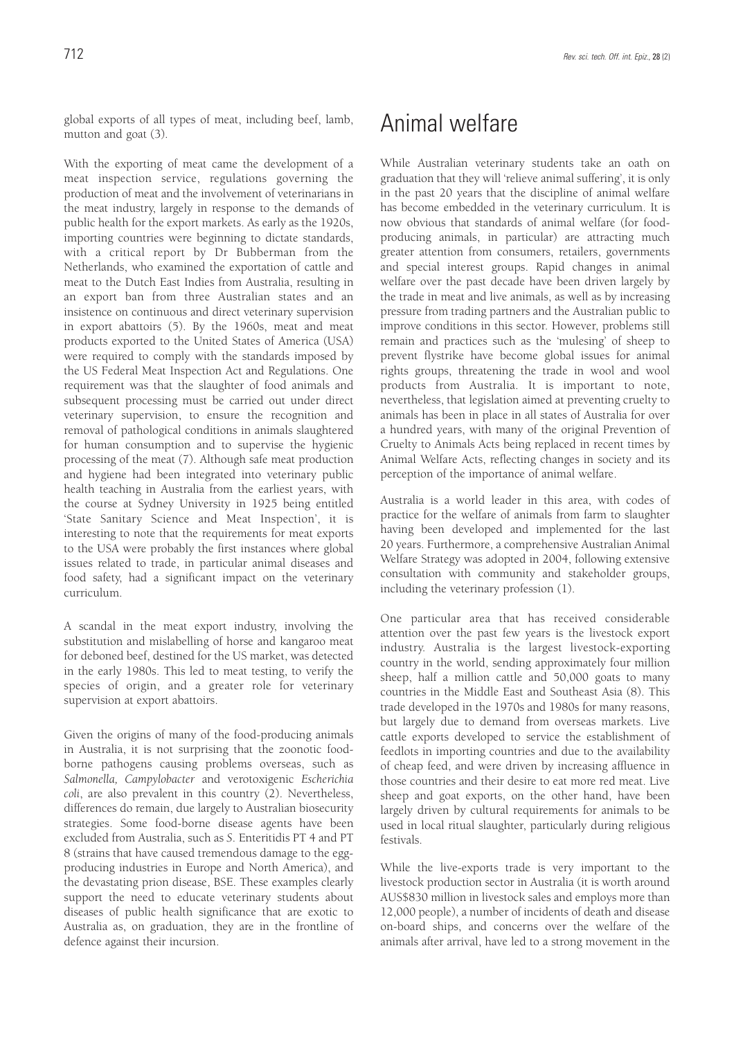global exports of all types of meat, including beef, lamb, mutton and goat (3).

With the exporting of meat came the development of a meat inspection service, regulations governing the production of meat and the involvement of veterinarians in the meat industry, largely in response to the demands of public health for the export markets. As early as the 1920s, importing countries were beginning to dictate standards, with a critical report by Dr Bubberman from the Netherlands, who examined the exportation of cattle and meat to the Dutch East Indies from Australia, resulting in an export ban from three Australian states and an insistence on continuous and direct veterinary supervision in export abattoirs (5). By the 1960s, meat and meat products exported to the United States of America (USA) were required to comply with the standards imposed by the US Federal Meat Inspection Act and Regulations. One requirement was that the slaughter of food animals and subsequent processing must be carried out under direct veterinary supervision, to ensure the recognition and removal of pathological conditions in animals slaughtered for human consumption and to supervise the hygienic processing of the meat (7). Although safe meat production and hygiene had been integrated into veterinary public health teaching in Australia from the earliest years, with the course at Sydney University in 1925 being entitled 'State Sanitary Science and Meat Inspection', it is interesting to note that the requirements for meat exports to the USA were probably the first instances where global issues related to trade, in particular animal diseases and food safety, had a significant impact on the veterinary curriculum.

A scandal in the meat export industry, involving the substitution and mislabelling of horse and kangaroo meat for deboned beef, destined for the US market, was detected in the early 1980s. This led to meat testing, to verify the species of origin, and a greater role for veterinary supervision at export abattoirs.

Given the origins of many of the food-producing animals in Australia, it is not surprising that the zoonotic foodborne pathogens causing problems overseas, such as *Salmonella, Campylobacter* and verotoxigenic *Escherichia coli*, are also prevalent in this country (2). Nevertheless, differences do remain, due largely to Australian biosecurity strategies. Some food-borne disease agents have been excluded from Australia, such as *S*. Enteritidis PT 4 and PT 8 (strains that have caused tremendous damage to the eggproducing industries in Europe and North America), and the devastating prion disease, BSE. These examples clearly support the need to educate veterinary students about diseases of public health significance that are exotic to Australia as, on graduation, they are in the frontline of defence against their incursion.

## Animal welfare

While Australian veterinary students take an oath on graduation that they will 'relieve animal suffering', it is only in the past 20 years that the discipline of animal welfare has become embedded in the veterinary curriculum. It is now obvious that standards of animal welfare (for foodproducing animals, in particular) are attracting much greater attention from consumers, retailers, governments and special interest groups. Rapid changes in animal welfare over the past decade have been driven largely by the trade in meat and live animals, as well as by increasing pressure from trading partners and the Australian public to improve conditions in this sector. However, problems still remain and practices such as the 'mulesing' of sheep to prevent flystrike have become global issues for animal rights groups, threatening the trade in wool and wool products from Australia. It is important to note, nevertheless, that legislation aimed at preventing cruelty to animals has been in place in all states of Australia for over a hundred years, with many of the original Prevention of Cruelty to Animals Acts being replaced in recent times by Animal Welfare Acts, reflecting changes in society and its perception of the importance of animal welfare.

Australia is a world leader in this area, with codes of practice for the welfare of animals from farm to slaughter having been developed and implemented for the last 20 years. Furthermore, a comprehensive Australian Animal Welfare Strategy was adopted in 2004, following extensive consultation with community and stakeholder groups, including the veterinary profession (1).

One particular area that has received considerable attention over the past few years is the livestock export industry. Australia is the largest livestock-exporting country in the world, sending approximately four million sheep, half a million cattle and 50,000 goats to many countries in the Middle East and Southeast Asia (8). This trade developed in the 1970s and 1980s for many reasons, but largely due to demand from overseas markets. Live cattle exports developed to service the establishment of feedlots in importing countries and due to the availability of cheap feed, and were driven by increasing affluence in those countries and their desire to eat more red meat. Live sheep and goat exports, on the other hand, have been largely driven by cultural requirements for animals to be used in local ritual slaughter, particularly during religious festivals.

While the live-exports trade is very important to the livestock production sector in Australia (it is worth around AUS\$830 million in livestock sales and employs more than 12,000 people), a number of incidents of death and disease on-board ships, and concerns over the welfare of the animals after arrival, have led to a strong movement in the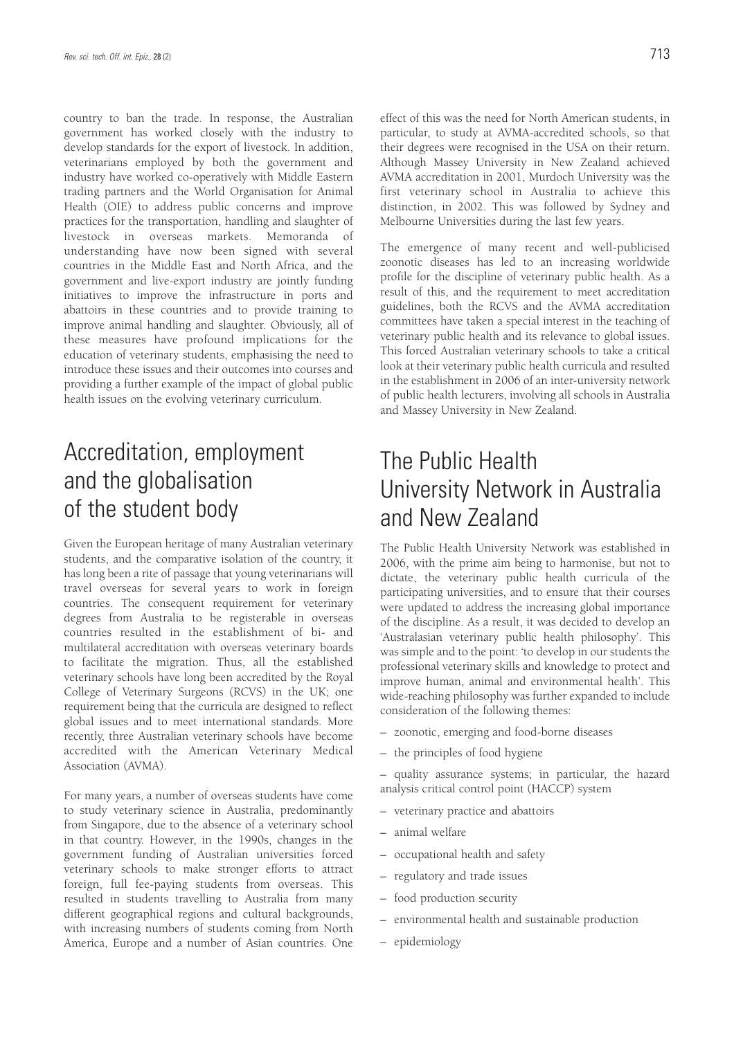country to ban the trade. In response, the Australian government has worked closely with the industry to develop standards for the export of livestock. In addition, veterinarians employed by both the government and industry have worked co-operatively with Middle Eastern trading partners and the World Organisation for Animal Health (OIE) to address public concerns and improve practices for the transportation, handling and slaughter of livestock in overseas markets. Memoranda of understanding have now been signed with several countries in the Middle East and North Africa, and the government and live-export industry are jointly funding initiatives to improve the infrastructure in ports and abattoirs in these countries and to provide training to improve animal handling and slaughter. Obviously, all of these measures have profound implications for the education of veterinary students, emphasising the need to introduce these issues and their outcomes into courses and providing a further example of the impact of global public health issues on the evolving veterinary curriculum.

## Accreditation, employment and the globalisation of the student body

Given the European heritage of many Australian veterinary students, and the comparative isolation of the country, it has long been a rite of passage that young veterinarians will travel overseas for several years to work in foreign countries. The consequent requirement for veterinary degrees from Australia to be registerable in overseas countries resulted in the establishment of bi- and multilateral accreditation with overseas veterinary boards to facilitate the migration. Thus, all the established veterinary schools have long been accredited by the Royal College of Veterinary Surgeons (RCVS) in the UK; one requirement being that the curricula are designed to reflect global issues and to meet international standards. More recently, three Australian veterinary schools have become accredited with the American Veterinary Medical Association (AVMA).

For many years, a number of overseas students have come to study veterinary science in Australia, predominantly from Singapore, due to the absence of a veterinary school in that country. However, in the 1990s, changes in the government funding of Australian universities forced veterinary schools to make stronger efforts to attract foreign, full fee-paying students from overseas. This resulted in students travelling to Australia from many different geographical regions and cultural backgrounds, with increasing numbers of students coming from North America, Europe and a number of Asian countries. One effect of this was the need for North American students, in particular, to study at AVMA-accredited schools, so that their degrees were recognised in the USA on their return. Although Massey University in New Zealand achieved AVMA accreditation in 2001, Murdoch University was the first veterinary school in Australia to achieve this distinction, in 2002. This was followed by Sydney and Melbourne Universities during the last few years.

The emergence of many recent and well-publicised zoonotic diseases has led to an increasing worldwide profile for the discipline of veterinary public health. As a result of this, and the requirement to meet accreditation guidelines, both the RCVS and the AVMA accreditation committees have taken a special interest in the teaching of veterinary public health and its relevance to global issues. This forced Australian veterinary schools to take a critical look at their veterinary public health curricula and resulted in the establishment in 2006 of an inter-university network of public health lecturers, involving all schools in Australia and Massey University in New Zealand.

## The Public Health University Network in Australia and New Zealand

The Public Health University Network was established in 2006, with the prime aim being to harmonise, but not to dictate, the veterinary public health curricula of the participating universities, and to ensure that their courses were updated to address the increasing global importance of the discipline. As a result, it was decided to develop an 'Australasian veterinary public health philosophy'. This was simple and to the point: 'to develop in our students the professional veterinary skills and knowledge to protect and improve human, animal and environmental health'. This wide-reaching philosophy was further expanded to include consideration of the following themes:

- zoonotic, emerging and food-borne diseases
- the principles of food hygiene

– quality assurance systems; in particular, the hazard analysis critical control point (HACCP) system

- veterinary practice and abattoirs
- animal welfare
- occupational health and safety
- regulatory and trade issues
- food production security
- environmental health and sustainable production
- epidemiology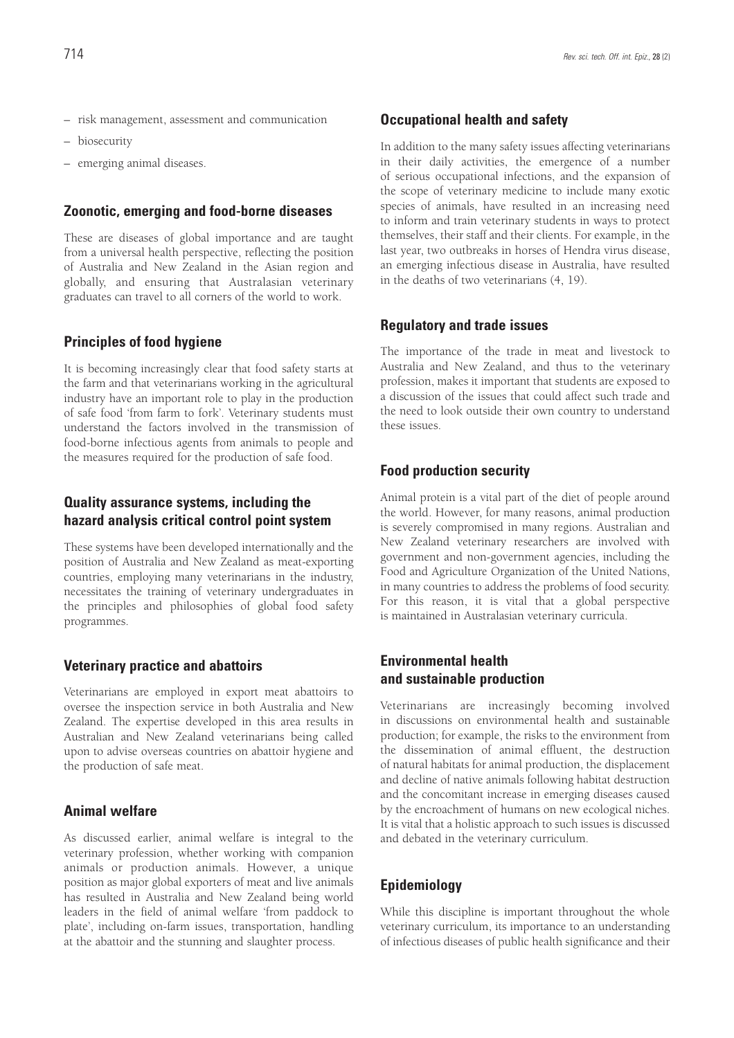- risk management, assessment and communication
- biosecurity
- emerging animal diseases.

#### **Zoonotic, emerging and food-borne diseases**

These are diseases of global importance and are taught from a universal health perspective, reflecting the position of Australia and New Zealand in the Asian region and globally, and ensuring that Australasian veterinary graduates can travel to all corners of the world to work.

#### **Principles of food hygiene**

It is becoming increasingly clear that food safety starts at the farm and that veterinarians working in the agricultural industry have an important role to play in the production of safe food 'from farm to fork'. Veterinary students must understand the factors involved in the transmission of food-borne infectious agents from animals to people and the measures required for the production of safe food.

### **Quality assurance systems, including the hazard analysis critical control point system**

These systems have been developed internationally and the position of Australia and New Zealand as meat-exporting countries, employing many veterinarians in the industry, necessitates the training of veterinary undergraduates in the principles and philosophies of global food safety programmes.

### **Veterinary practice and abattoirs**

Veterinarians are employed in export meat abattoirs to oversee the inspection service in both Australia and New Zealand. The expertise developed in this area results in Australian and New Zealand veterinarians being called upon to advise overseas countries on abattoir hygiene and the production of safe meat.

### **Animal welfare**

As discussed earlier, animal welfare is integral to the veterinary profession, whether working with companion animals or production animals. However, a unique position as major global exporters of meat and live animals has resulted in Australia and New Zealand being world leaders in the field of animal welfare 'from paddock to plate', including on-farm issues, transportation, handling at the abattoir and the stunning and slaughter process.

#### **Occupational health and safety**

In addition to the many safety issues affecting veterinarians in their daily activities, the emergence of a number of serious occupational infections, and the expansion of the scope of veterinary medicine to include many exotic species of animals, have resulted in an increasing need to inform and train veterinary students in ways to protect themselves, their staff and their clients. For example, in the last year, two outbreaks in horses of Hendra virus disease, an emerging infectious disease in Australia, have resulted in the deaths of two veterinarians (4, 19).

### **Regulatory and trade issues**

The importance of the trade in meat and livestock to Australia and New Zealand, and thus to the veterinary profession, makes it important that students are exposed to a discussion of the issues that could affect such trade and the need to look outside their own country to understand these issues.

#### **Food production security**

Animal protein is a vital part of the diet of people around the world. However, for many reasons, animal production is severely compromised in many regions. Australian and New Zealand veterinary researchers are involved with government and non-government agencies, including the Food and Agriculture Organization of the United Nations, in many countries to address the problems of food security. For this reason, it is vital that a global perspective is maintained in Australasian veterinary curricula.

### **Environmental health and sustainable production**

Veterinarians are increasingly becoming involved in discussions on environmental health and sustainable production; for example, the risks to the environment from the dissemination of animal effluent, the destruction of natural habitats for animal production, the displacement and decline of native animals following habitat destruction and the concomitant increase in emerging diseases caused by the encroachment of humans on new ecological niches. It is vital that a holistic approach to such issues is discussed and debated in the veterinary curriculum.

### **Epidemiology**

While this discipline is important throughout the whole veterinary curriculum, its importance to an understanding of infectious diseases of public health significance and their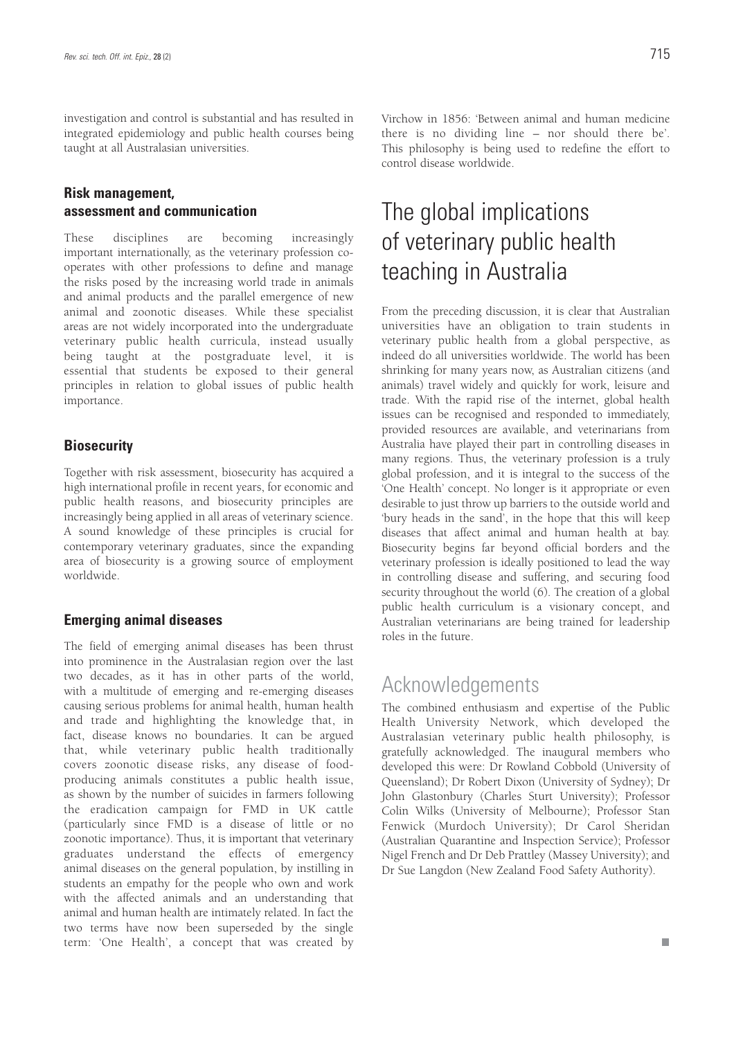investigation and control is substantial and has resulted in integrated epidemiology and public health courses being taught at all Australasian universities.

### **Risk management, assessment and communication**

These disciplines are becoming increasingly important internationally, as the veterinary profession cooperates with other professions to define and manage the risks posed by the increasing world trade in animals and animal products and the parallel emergence of new animal and zoonotic diseases. While these specialist areas are not widely incorporated into the undergraduate veterinary public health curricula, instead usually being taught at the postgraduate level, it is essential that students be exposed to their general principles in relation to global issues of public health importance.

### **Biosecurity**

Together with risk assessment, biosecurity has acquired a high international profile in recent years, for economic and public health reasons, and biosecurity principles are increasingly being applied in all areas of veterinary science. A sound knowledge of these principles is crucial for contemporary veterinary graduates, since the expanding area of biosecurity is a growing source of employment worldwide.

### **Emerging animal diseases**

The field of emerging animal diseases has been thrust into prominence in the Australasian region over the last two decades, as it has in other parts of the world, with a multitude of emerging and re-emerging diseases causing serious problems for animal health, human health and trade and highlighting the knowledge that, in fact, disease knows no boundaries. It can be argued that, while veterinary public health traditionally covers zoonotic disease risks, any disease of foodproducing animals constitutes a public health issue, as shown by the number of suicides in farmers following the eradication campaign for FMD in UK cattle (particularly since FMD is a disease of little or no zoonotic importance). Thus, it is important that veterinary graduates understand the effects of emergency animal diseases on the general population, by instilling in students an empathy for the people who own and work with the affected animals and an understanding that animal and human health are intimately related. In fact the two terms have now been superseded by the single term: 'One Health', a concept that was created by Virchow in 1856: 'Between animal and human medicine there is no dividing line – nor should there be'. This philosophy is being used to redefine the effort to control disease worldwide.

## The global implications of veterinary public health teaching in Australia

From the preceding discussion, it is clear that Australian universities have an obligation to train students in veterinary public health from a global perspective, as indeed do all universities worldwide. The world has been shrinking for many years now, as Australian citizens (and animals) travel widely and quickly for work, leisure and trade. With the rapid rise of the internet, global health issues can be recognised and responded to immediately, provided resources are available, and veterinarians from Australia have played their part in controlling diseases in many regions. Thus, the veterinary profession is a truly global profession, and it is integral to the success of the 'One Health' concept. No longer is it appropriate or even desirable to just throw up barriers to the outside world and 'bury heads in the sand', in the hope that this will keep diseases that affect animal and human health at bay. Biosecurity begins far beyond official borders and the veterinary profession is ideally positioned to lead the way in controlling disease and suffering, and securing food security throughout the world (6). The creation of a global public health curriculum is a visionary concept, and Australian veterinarians are being trained for leadership roles in the future.

### Acknowledgements

The combined enthusiasm and expertise of the Public Health University Network, which developed the Australasian veterinary public health philosophy, is gratefully acknowledged. The inaugural members who developed this were: Dr Rowland Cobbold (University of Queensland); Dr Robert Dixon (University of Sydney); Dr John Glastonbury (Charles Sturt University); Professor Colin Wilks (University of Melbourne); Professor Stan Fenwick (Murdoch University); Dr Carol Sheridan (Australian Quarantine and Inspection Service); Professor Nigel French and Dr Deb Prattley (Massey University); and Dr Sue Langdon (New Zealand Food Safety Authority).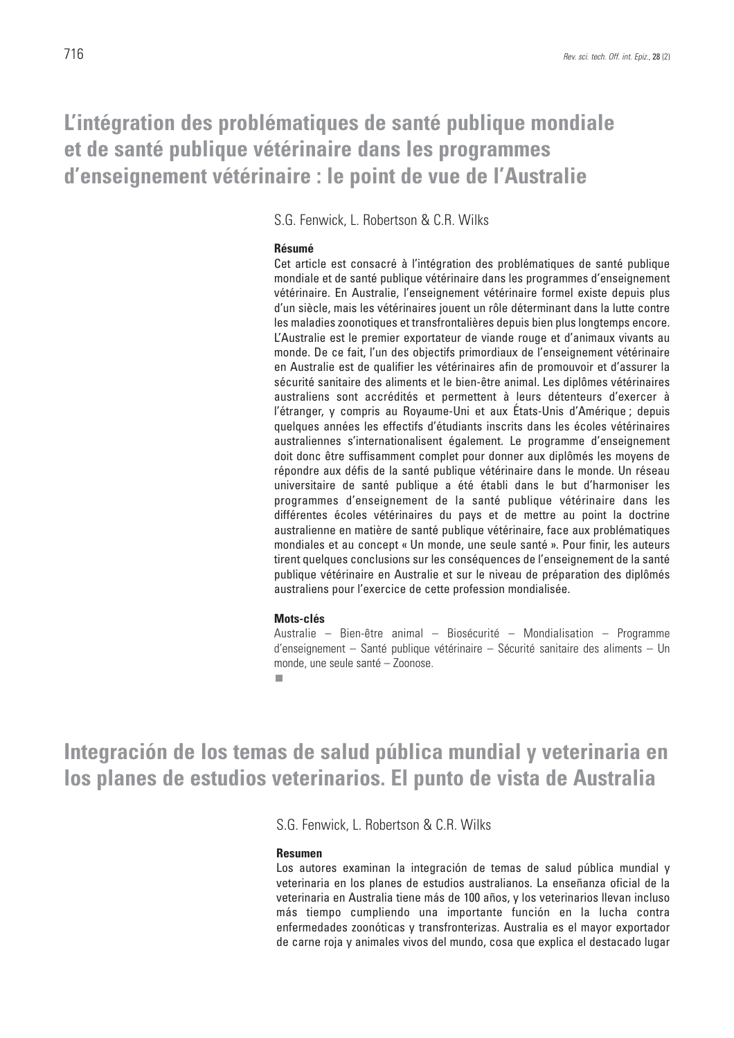## **L'intégration des problématiques de santé publique mondiale et de santé publique vétérinaire dans les programmes d'enseignement vétérinaire : le point de vue de l'Australie**

S.G. Fenwick, L. Robertson & C.R. Wilks

#### **Résumé**

Cet article est consacré à l'intégration des problématiques de santé publique mondiale et de santé publique vétérinaire dans les programmes d'enseignement vétérinaire. En Australie, l'enseignement vétérinaire formel existe depuis plus d'un siècle, mais les vétérinaires jouent un rôle déterminant dans la lutte contre les maladies zoonotiques et transfrontalières depuis bien plus longtemps encore. L'Australie est le premier exportateur de viande rouge et d'animaux vivants au monde. De ce fait, l'un des objectifs primordiaux de l'enseignement vétérinaire en Australie est de qualifier les vétérinaires afin de promouvoir et d'assurer la sécurité sanitaire des aliments et le bien-être animal. Les diplômes vétérinaires australiens sont accrédités et permettent à leurs détenteurs d'exercer à l'étranger, y compris au Royaume-Uni et aux États-Unis d'Amérique ; depuis quelques années les effectifs d'étudiants inscrits dans les écoles vétérinaires australiennes s'internationalisent également. Le programme d'enseignement doit donc être suffisamment complet pour donner aux diplômés les moyens de répondre aux défis de la santé publique vétérinaire dans le monde. Un réseau universitaire de santé publique a été établi dans le but d'harmoniser les programmes d'enseignement de la santé publique vétérinaire dans les différentes écoles vétérinaires du pays et de mettre au point la doctrine australienne en matière de santé publique vétérinaire, face aux problématiques mondiales et au concept « Un monde, une seule santé ». Pour finir, les auteurs tirent quelques conclusions sur les conséquences de l'enseignement de la santé publique vétérinaire en Australie et sur le niveau de préparation des diplômés australiens pour l'exercice de cette profession mondialisée.

#### **Mots-clés**

**The State** 

Australie – Bien-être animal – Biosécurité – Mondialisation – Programme d'enseignement – Santé publique vétérinaire – Sécurité sanitaire des aliments – Un monde, une seule santé – Zoonose.

**Integración de los temas de salud pública mundial y veterinaria en los planes de estudios veterinarios. El punto de vista de Australia** 

S.G. Fenwick, L. Robertson & C.R. Wilks

#### **Resumen**

Los autores examinan la integración de temas de salud pública mundial y veterinaria en los planes de estudios australianos. La enseñanza oficial de la veterinaria en Australia tiene más de 100 años, y los veterinarios llevan incluso más tiempo cumpliendo una importante función en la lucha contra enfermedades zoonóticas y transfronterizas. Australia es el mayor exportador de carne roja y animales vivos del mundo, cosa que explica el destacado lugar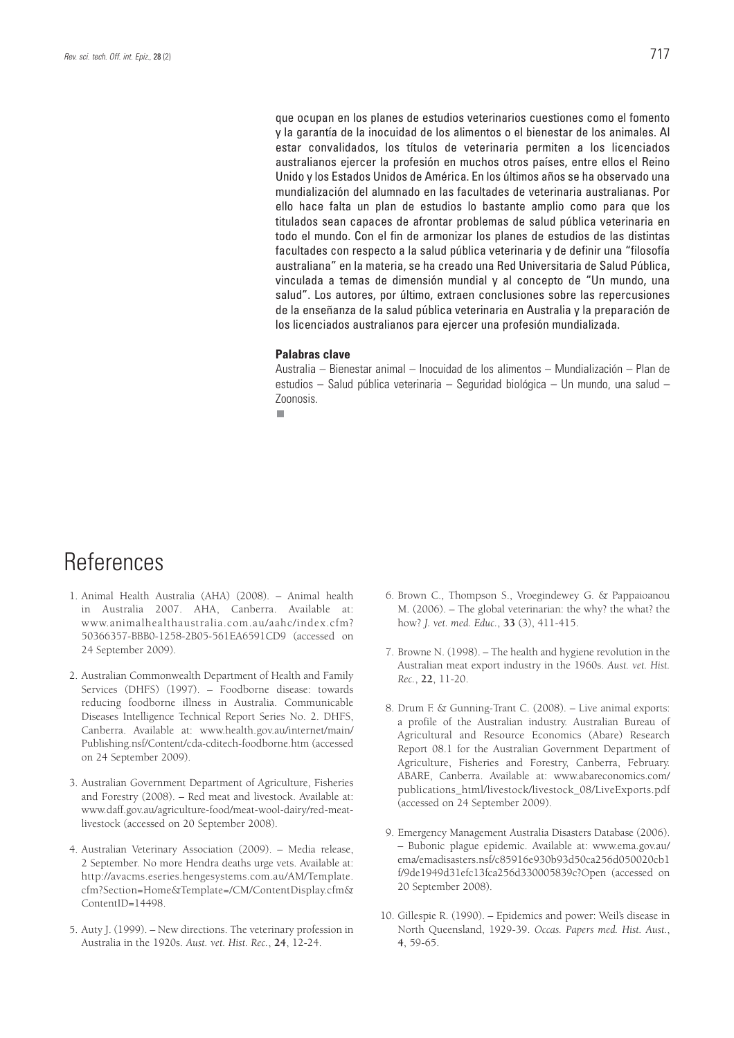que ocupan en los planes de estudios veterinarios cuestiones como el fomento y la garantía de la inocuidad de los alimentos o el bienestar de los animales. Al estar convalidados, los títulos de veterinaria permiten a los licenciados australianos ejercer la profesión en muchos otros países, entre ellos el Reino Unido y los Estados Unidos de América. En los últimos años se ha observado una mundialización del alumnado en las facultades de veterinaria australianas. Por ello hace falta un plan de estudios lo bastante amplio como para que los titulados sean capaces de afrontar problemas de salud pública veterinaria en todo el mundo. Con el fin de armonizar los planes de estudios de las distintas facultades con respecto a la salud pública veterinaria y de definir una "filosofía australiana" en la materia, se ha creado una Red Universitaria de Salud Pública, vinculada a temas de dimensión mundial y al concepto de "Un mundo, una salud". Los autores, por último, extraen conclusiones sobre las repercusiones de la enseñanza de la salud pública veterinaria en Australia y la preparación de los licenciados australianos para ejercer una profesión mundializada.

#### **Palabras clave**

Australia – Bienestar animal – Inocuidad de los alimentos – Mundialización – Plan de estudios – Salud pública veterinaria – Seguridad biológica – Un mundo, una salud – Zoonosis.

٠

## References

- 1. Animal Health Australia (AHA) (2008). Animal health in Australia 2007. AHA, Canberra. Available at: www.animalhealthaustralia.com.au/aahc/index.cfm? 50366357-BBB0-1258-2B05-561EA6591CD9 (accessed on 24 September 2009).
- 2. Australian Commonwealth Department of Health and Family Services (DHFS) (1997). – Foodborne disease: towards reducing foodborne illness in Australia. Communicable Diseases Intelligence Technical Report Series No. 2. DHFS, Canberra. Available at: www.health.gov.au/internet/main/ Publishing.nsf/Content/cda-cditech-foodborne.htm (accessed on 24 September 2009).
- 3. Australian Government Department of Agriculture, Fisheries and Forestry (2008). – Red meat and livestock. Available at: www.daff.gov.au/agriculture-food/meat-wool-dairy/red-meatlivestock (accessed on 20 September 2008).
- 4. Australian Veterinary Association (2009). Media release, 2 September. No more Hendra deaths urge vets. Available at: http://avacms.eseries.hengesystems.com.au/AM/Template. cfm?Section=Home&Template=/CM/ContentDisplay.cfm& ContentID=14498.
- 5. Auty J. (1999). New directions. The veterinary profession in Australia in the 1920s. *Aust. vet. Hist. Rec.*, **24**, 12-24.
- 6. Brown C., Thompson S., Vroegindewey G. & Pappaioanou M. (2006). – The global veterinarian: the why? the what? the how? *J. vet. med. Educ.*, **33** (3), 411-415.
- 7. Browne N. (1998). The health and hygiene revolution in the Australian meat export industry in the 1960s. *Aust. vet. Hist. Rec.*, **22**, 11-20.
- 8. Drum F. & Gunning-Trant C. (2008). Live animal exports: a profile of the Australian industry. Australian Bureau of Agricultural and Resource Economics (Abare) Research Report 08.1 for the Australian Government Department of Agriculture, Fisheries and Forestry, Canberra, February. ABARE, Canberra. Available at: www.abareconomics.com/ publications\_html/livestock/livestock\_08/LiveExports.pdf (accessed on 24 September 2009).
- 9. Emergency Management Australia Disasters Database (2006). – Bubonic plague epidemic. Available at: www.ema.gov.au/ ema/emadisasters.nsf/c85916e930b93d50ca256d050020cb1 f/9de1949d31efc13fca256d330005839c?Open (accessed on 20 September 2008).
- 10. Gillespie R. (1990). Epidemics and power: Weil's disease in North Queensland, 1929-39. *Occas. Papers med. Hist. Aust.*, **4**, 59-65.